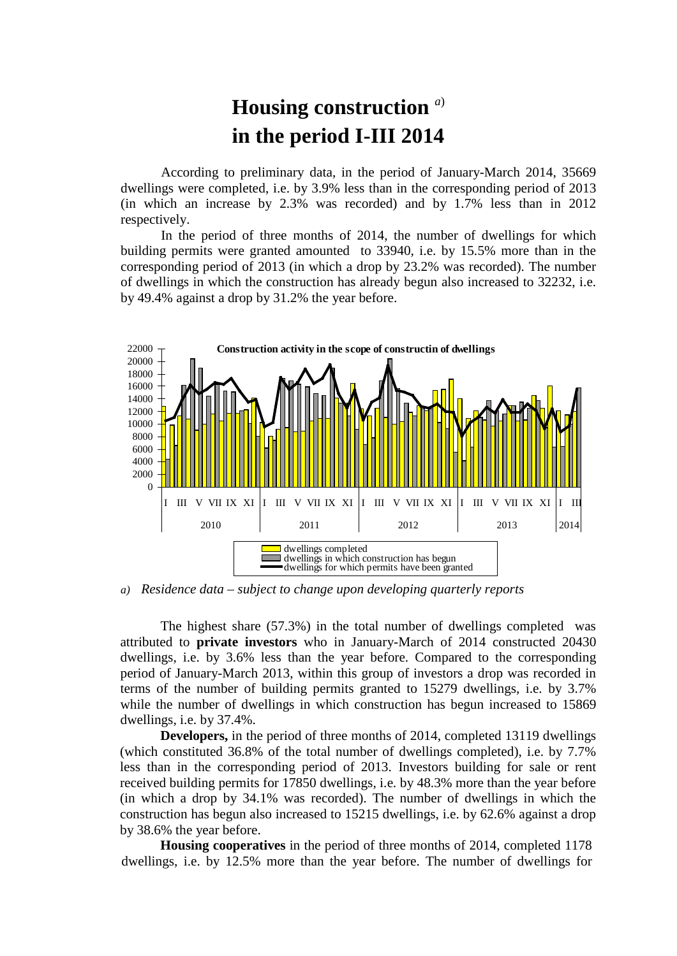## **Housing construction** *<sup>a</sup>*) **in the period I-III 2014**

According to preliminary data, in the period of January-March 2014, 35669 dwellings were completed, i.e. by 3.9% less than in the corresponding period of 2013 (in which an increase by 2.3% was recorded) and by 1.7% less than in 2012 respectively.

In the period of three months of 2014, the number of dwellings for which building permits were granted amounted to 33940, i.e. by 15.5% more than in the corresponding period of 2013 (in which a drop by 23.2% was recorded). The number of dwellings in which the construction has already begun also increased to 32232, i.e. by 49.4% against a drop by 31.2% the year before.



*a) Residence data – subject to change upon developing quarterly reports*

The highest share (57.3%) in the total number of dwellings completed was attributed to **private investors** who in January-March of 2014 constructed 20430 dwellings, i.e. by 3.6% less than the year before. Compared to the corresponding period of January-March 2013, within this group of investors a drop was recorded in terms of the number of building permits granted to 15279 dwellings, i.e. by 3.7% while the number of dwellings in which construction has begun increased to 15869 dwellings, i.e. by 37.4%.

**Developers,** in the period of three months of 2014, completed 13119 dwellings (which constituted 36.8% of the total number of dwellings completed), i.e. by 7.7% less than in the corresponding period of 2013. Investors building for sale or rent received building permits for 17850 dwellings, i.e. by 48.3% more than the year before (in which a drop by 34.1% was recorded). The number of dwellings in which the construction has begun also increased to 15215 dwellings, i.e. by 62.6% against a drop by 38.6% the year before.

**Housing cooperatives** in the period of three months of 2014, completed 1178 dwellings, i.e. by 12.5% more than the year before. The number of dwellings for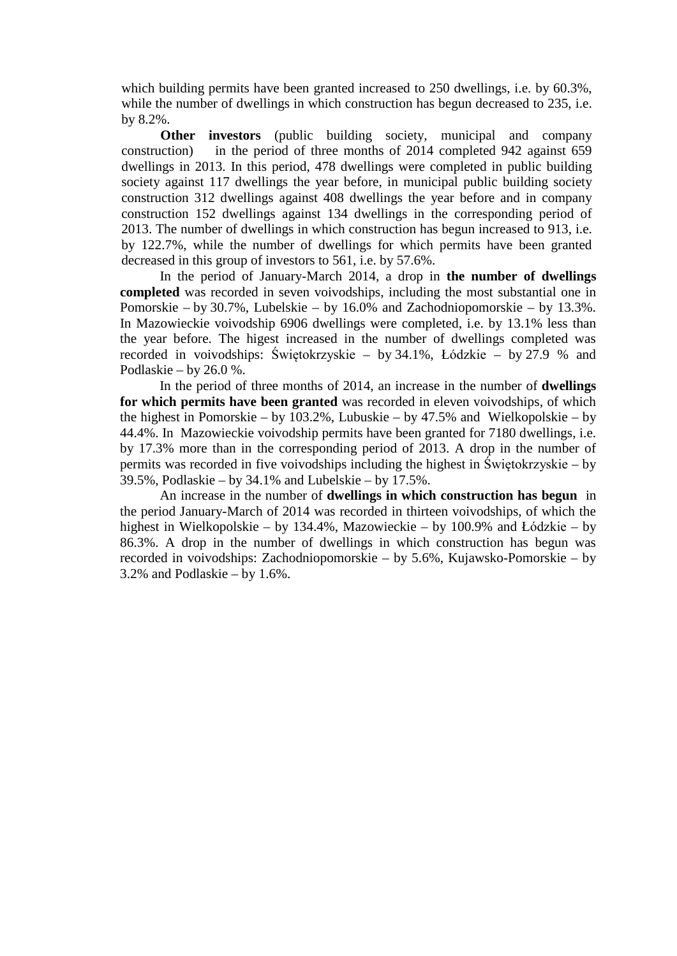which building permits have been granted increased to 250 dwellings, i.e. by 60.3%, while the number of dwellings in which construction has begun decreased to 235, i.e. by 8.2%.

**Other investors** (public building society, municipal and company construction) in the period of three months of 2014 completed 942 against 659 dwellings in 2013. In this period, 478 dwellings were completed in public building society against 117 dwellings the year before, in municipal public building society construction 312 dwellings against 408 dwellings the year before and in company construction 152 dwellings against 134 dwellings in the corresponding period of 2013. The number of dwellings in which construction has begun increased to 913, i.e. by 122.7%, while the number of dwellings for which permits have been granted decreased in this group of investors to 561, i.e. by 57.6%.

In the period of January-March 2014, a drop in **the number of dwellings completed** was recorded in seven voivodships, including the most substantial one in Pomorskie – by 30.7%, Lubelskie – by 16.0% and Zachodniopomorskie – by 13.3%. In Mazowieckie voivodship 6906 dwellings were completed, i.e. by 13.1% less than the year before. The higest increased in the number of dwellings completed was recorded in voivodships: Świętokrzyskie – by 34.1%, Łódzkie – by 27.9 % and Podlaskie – by 26.0 %.

In the period of three months of 2014, an increase in the number of **dwellings for which permits have been granted** was recorded in eleven voivodships, of which the highest in Pomorskie – by 103.2%, Lubuskie – by 47.5% and Wielkopolskie – by 44.4%. In Mazowieckie voivodship permits have been granted for 7180 dwellings, i.e. by 17.3% more than in the corresponding period of 2013. A drop in the number of permits was recorded in five voivodships including the highest in Świętokrzyskie – by 39.5%, Podlaskie – by 34.1% and Lubelskie – by 17.5%.

An increase in the number of **dwellings in which construction has begun** in the period January-March of 2014 was recorded in thirteen voivodships, of which the highest in Wielkopolskie – by 134.4%, Mazowieckie – by 100.9% and Łódzkie – by 86.3%. A drop in the number of dwellings in which construction has begun was recorded in voivodships: Zachodniopomorskie – by 5.6%, Kujawsko-Pomorskie – by 3.2% and Podlaskie – by 1.6%.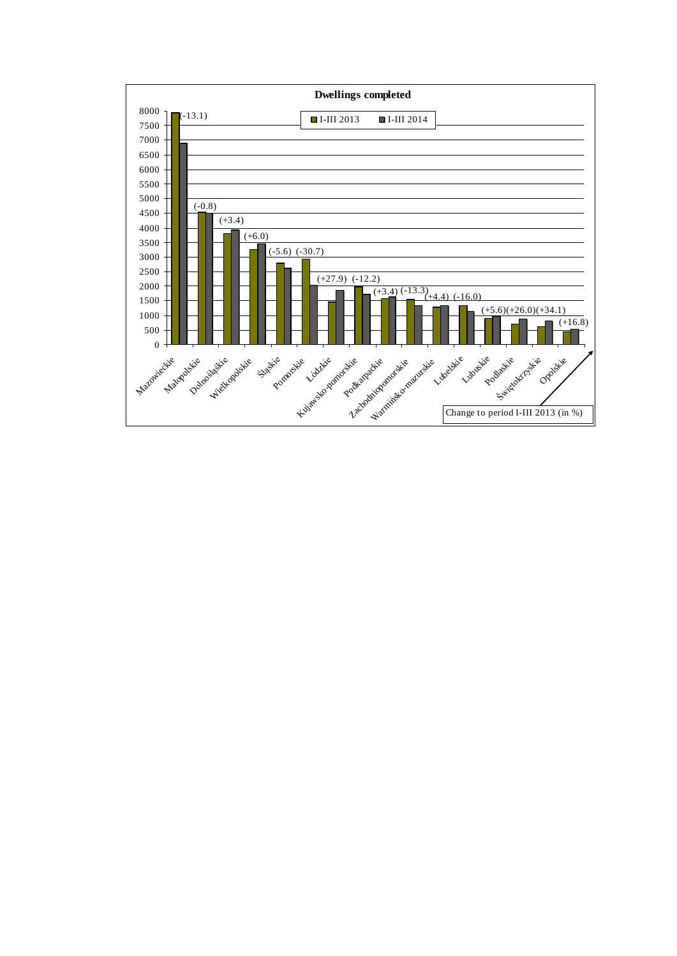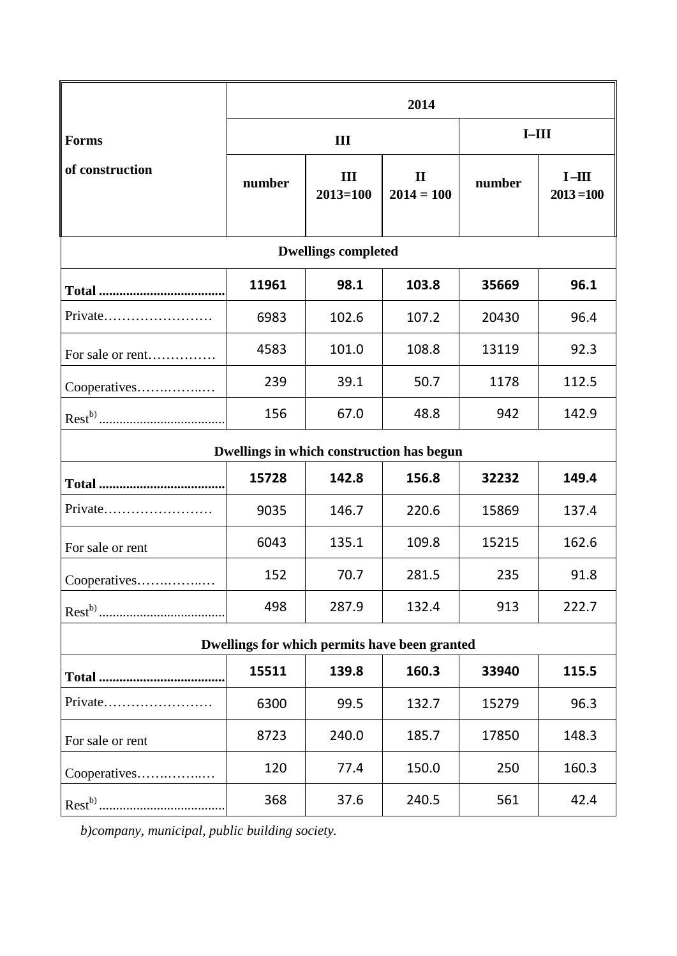|                                               | 2014   |                     |                              |         |                        |
|-----------------------------------------------|--------|---------------------|------------------------------|---------|------------------------|
| <b>Forms</b>                                  | III    |                     |                              | $I-III$ |                        |
| of construction                               | number | III<br>$2013 = 100$ | $\mathbf{I}$<br>$2014 = 100$ | number  | $I-HI$<br>$2013 = 100$ |
| <b>Dwellings completed</b>                    |        |                     |                              |         |                        |
|                                               | 11961  | 98.1                | 103.8                        | 35669   | 96.1                   |
| Private                                       | 6983   | 102.6               | 107.2                        | 20430   | 96.4                   |
| For sale or rent                              | 4583   | 101.0               | 108.8                        | 13119   | 92.3                   |
| Cooperatives                                  | 239    | 39.1                | 50.7                         | 1178    | 112.5                  |
|                                               | 156    | 67.0                | 48.8                         | 942     | 142.9                  |
| Dwellings in which construction has begun     |        |                     |                              |         |                        |
|                                               | 15728  | 142.8               | 156.8                        | 32232   | 149.4                  |
| Private                                       | 9035   | 146.7               | 220.6                        | 15869   | 137.4                  |
| For sale or rent                              | 6043   | 135.1               | 109.8                        | 15215   | 162.6                  |
| Cooperatives                                  | 152    | 70.7                | 281.5                        | 235     | 91.8                   |
|                                               | 498    | 287.9               | 132.4                        | 913     | 222.7                  |
| Dwellings for which permits have been granted |        |                     |                              |         |                        |
|                                               | 15511  | 139.8               | 160.3                        | 33940   | 115.5                  |
| Private                                       | 6300   | 99.5                | 132.7                        | 15279   | 96.3                   |
| For sale or rent                              | 8723   | 240.0               | 185.7                        | 17850   | 148.3                  |
| Cooperatives                                  | 120    | 77.4                | 150.0                        | 250     | 160.3                  |
|                                               | 368    | 37.6                | 240.5                        | 561     | 42.4                   |

*b)company, municipal, public building society.*